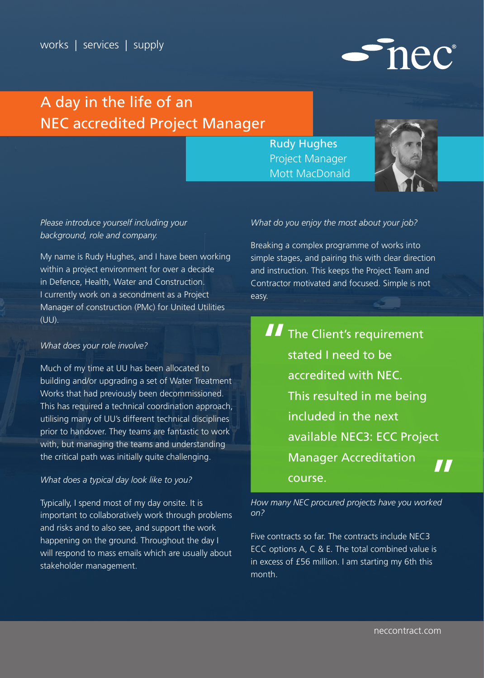

Rudy Hughes Project Manager Mott MacDonald



mec®

### *Please introduce yourself including your background, role and company.*

My name is Rudy Hughes, and I have been working within a project environment for over a decade in Defence, Health, Water and Construction. I currently work on a secondment as a Project Manager of construction (PMc) for United Utilities (UU).

#### *What does your role involve?*

Much of my time at UU has been allocated to building and/or upgrading a set of Water Treatment Works that had previously been decommissioned. This has required a technical coordination approach, utilising many of UU's different technical disciplines prior to handover. They teams are fantastic to work with, but managing the teams and understanding the critical path was initially quite challenging.

#### *What does a typical day look like to you?*

Typically, I spend most of my day onsite. It is important to collaboratively work through problems and risks and to also see, and support the work happening on the ground. Throughout the day I will respond to mass emails which are usually about stakeholder management.

#### *What do you enjoy the most about your job?*

Breaking a complex programme of works into simple stages, and pairing this with clear direction and instruction. This keeps the Project Team and Contractor motivated and focused. Simple is not easy.

**The Client's requirement** stated I need to be accredited with NEC. This resulted in me being included in the next available NEC3: ECC Project Manager Accreditation course.

*How many NEC procured projects have you worked on?*

Five contracts so far. The contracts include NEC3 ECC options A, C & E. The total combined value is in excess of £56 million. I am starting my 6th this month.